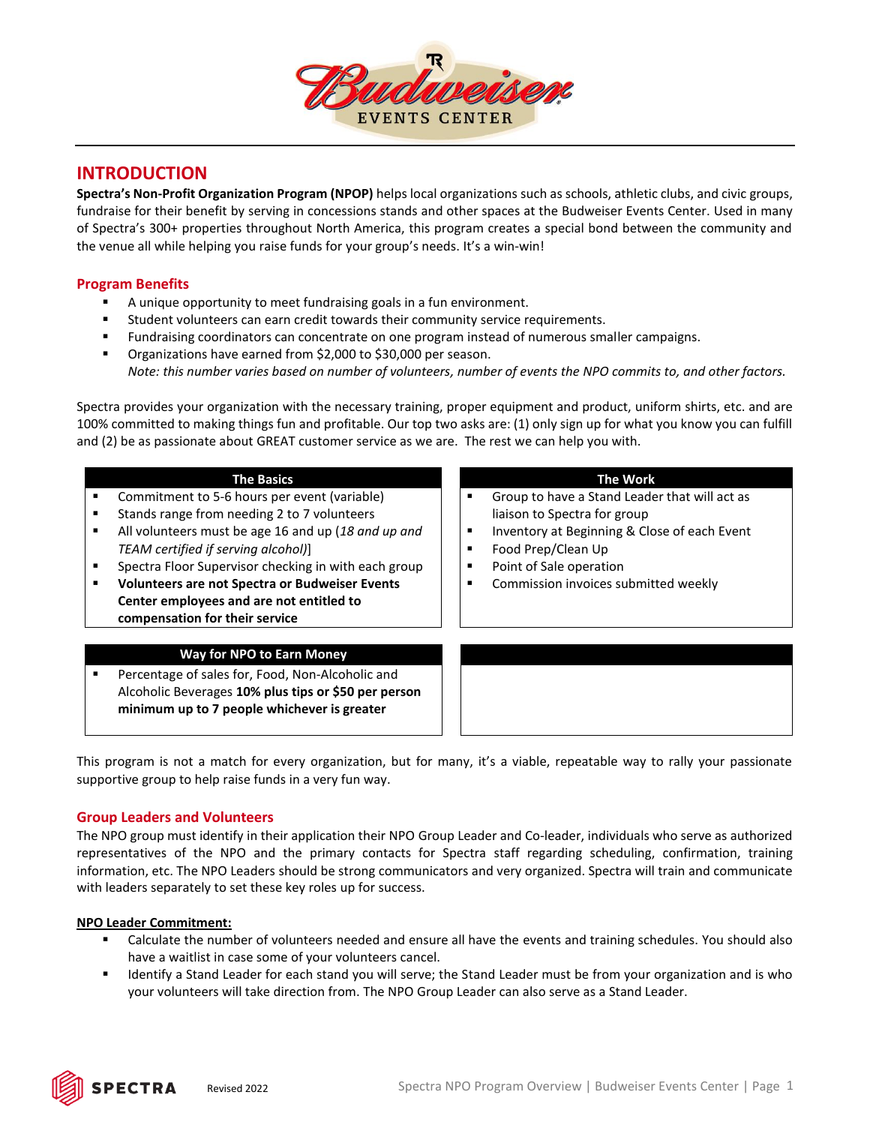

## **INTRODUCTION**

**Spectra's Non-Profit Organization Program (NPOP)** helps local organizations such as schools, athletic clubs, and civic groups, fundraise for their benefit by serving in concessions stands and other spaces at the Budweiser Events Center. Used in many of Spectra's 300+ properties throughout North America, this program creates a special bond between the community and the venue all while helping you raise funds for your group's needs. It's a win-win!

## **Program Benefits**

- A unique opportunity to meet fundraising goals in a fun environment.
- Student volunteers can earn credit towards their community service requirements.
- Fundraising coordinators can concentrate on one program instead of numerous smaller campaigns.
- Organizations have earned from \$2,000 to \$30,000 per season. *Note: this number varies based on number of volunteers, number of events the NPO commits to, and other factors.*

Spectra provides your organization with the necessary training, proper equipment and product, uniform shirts, etc. and are 100% committed to making things fun and profitable. Our top two asks are: (1) only sign up for what you know you can fulfill and (2) be as passionate about GREAT customer service as we are. The rest we can help you with.

| <b>The Basics</b><br>Commitment to 5-6 hours per event (variable)<br>٠<br>Stands range from needing 2 to 7 volunteers<br>г<br>All volunteers must be age 16 and up (18 and up and<br>٠<br>TEAM certified if serving alcohol)]<br>Spectra Floor Supervisor checking in with each group<br>п<br><b>Volunteers are not Spectra or Budweiser Events</b><br>г<br>Center employees and are not entitled to<br>compensation for their service | <b>The Work</b><br>Group to have a Stand Leader that will act as<br>liaison to Spectra for group<br>Inventory at Beginning & Close of each Event<br>Food Prep/Clean Up<br>Point of Sale operation<br>Commission invoices submitted weekly |
|----------------------------------------------------------------------------------------------------------------------------------------------------------------------------------------------------------------------------------------------------------------------------------------------------------------------------------------------------------------------------------------------------------------------------------------|-------------------------------------------------------------------------------------------------------------------------------------------------------------------------------------------------------------------------------------------|
| <b>Way for NPO to Earn Money</b>                                                                                                                                                                                                                                                                                                                                                                                                       |                                                                                                                                                                                                                                           |
| Percentage of sales for, Food, Non-Alcoholic and<br>٠<br>Alcoholic Beverages 10% plus tips or \$50 per person<br>minimum up to 7 people whichever is greater                                                                                                                                                                                                                                                                           |                                                                                                                                                                                                                                           |

This program is not a match for every organization, but for many, it's a viable, repeatable way to rally your passionate supportive group to help raise funds in a very fun way.

## **Group Leaders and Volunteers**

The NPO group must identify in their application their NPO Group Leader and Co-leader, individuals who serve as authorized representatives of the NPO and the primary contacts for Spectra staff regarding scheduling, confirmation, training information, etc. The NPO Leaders should be strong communicators and very organized. Spectra will train and communicate with leaders separately to set these key roles up for success.

## **NPO Leader Commitment:**

- Calculate the number of volunteers needed and ensure all have the events and training schedules. You should also have a waitlist in case some of your volunteers cancel.
- Identify a Stand Leader for each stand you will serve; the Stand Leader must be from your organization and is who your volunteers will take direction from. The NPO Group Leader can also serve as a Stand Leader.

**PECTRA**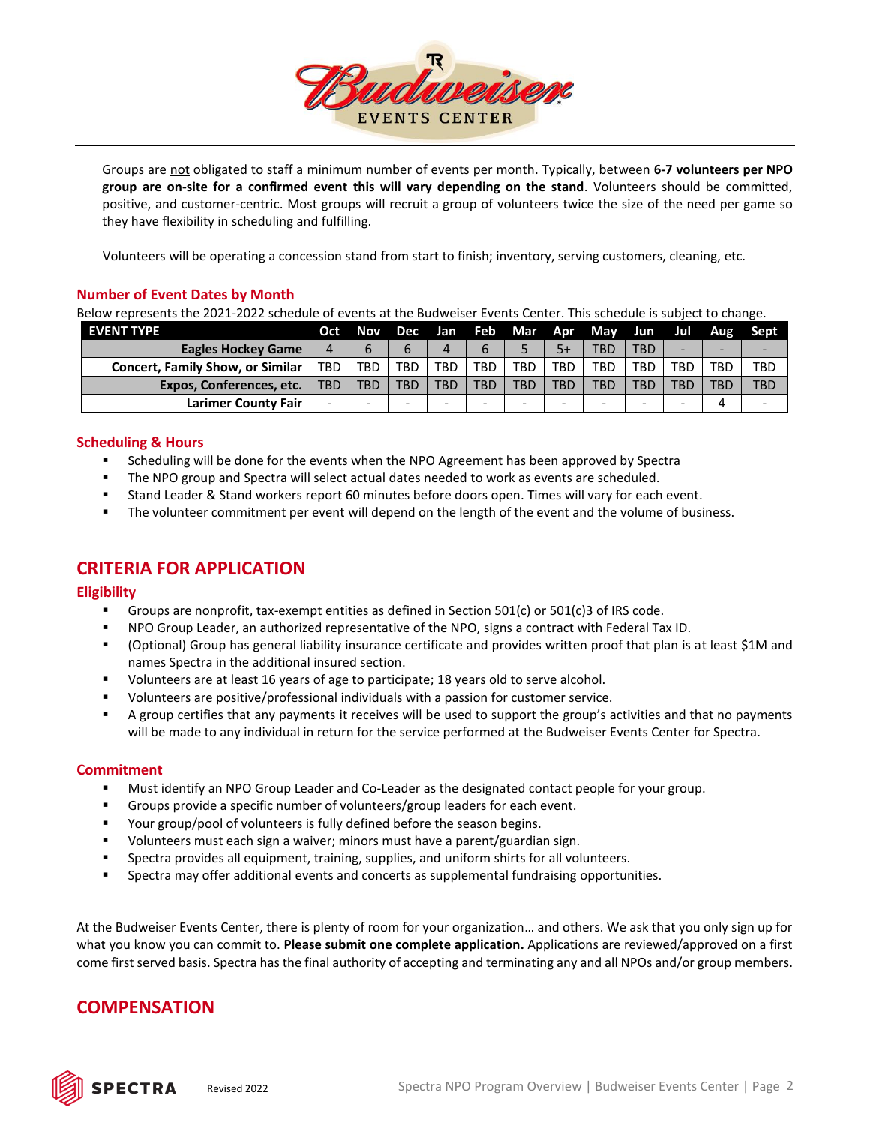

Groups are not obligated to staff a minimum number of events per month. Typically, between **6-7 volunteers per NPO group are on-site for a confirmed event this will vary depending on the stand**. Volunteers should be committed, positive, and customer-centric. Most groups will recruit a group of volunteers twice the size of the need per game so they have flexibility in scheduling and fulfilling.

Volunteers will be operating a concession stand from start to finish; inventory, serving customers, cleaning, etc.

## **Number of Event Dates by Month**

Below represents the 2021-2022 schedule of events at the Budweiser Events Center. This schedule is subject to change.

| <b>EVENT TYPE</b>                       | Oct        | <b>Nov</b> |            |                          |     |     |     | Dec Jan Feb Mar Apr May Jun |            | Jul.       | Aug | Sept.                    |
|-----------------------------------------|------------|------------|------------|--------------------------|-----|-----|-----|-----------------------------|------------|------------|-----|--------------------------|
| <b>Eagles Hockey Game</b>               | 4          | b          | b          |                          |     |     |     | TBD                         | <b>TBD</b> |            |     |                          |
| <b>Concert, Family Show, or Similar</b> | <b>TBD</b> | TBD        | <b>TBD</b> | <b>TBD</b>               | TBD | TBD | TBD | TBD                         | TBD.       | <b>TBD</b> | TBD | <b>TBD</b>               |
| <b>Expos, Conferences, etc.</b>         | <b>TBD</b> | <b>TBD</b> | <b>TBD</b> | TBD                      | TBD | TBD | TBD | TBD                         | <b>TBD</b> | <b>TBD</b> | TBD | <b>TBD</b>               |
| <b>Larimer County Fair</b>              | -          | -          | -          | $\overline{\phantom{0}}$ |     |     |     | $\sim$                      | -          | -          | 4   | $\overline{\phantom{0}}$ |

## **Scheduling & Hours**

- Scheduling will be done for the events when the NPO Agreement has been approved by Spectra
- **The NPO group and Spectra will select actual dates needed to work as events are scheduled.**
- Stand Leader & Stand workers report 60 minutes before doors open. Times will vary for each event.
- The volunteer commitment per event will depend on the length of the event and the volume of business.

# **CRITERIA FOR APPLICATION**

## **Eligibility**

- Groups are nonprofit, tax-exempt entities as defined in Section 501(c) or 501(c)3 of IRS code.
- NPO Group Leader, an authorized representative of the NPO, signs a contract with Federal Tax ID.
- (Optional) Group has general liability insurance certificate and provides written proof that plan is at least \$1M and names Spectra in the additional insured section.
- Volunteers are at least 16 years of age to participate; 18 years old to serve alcohol.
- Volunteers are positive/professional individuals with a passion for customer service.
- A group certifies that any payments it receives will be used to support the group's activities and that no payments will be made to any individual in return for the service performed at the Budweiser Events Center for Spectra.

## **Commitment**

- Must identify an NPO Group Leader and Co-Leader as the designated contact people for your group.
- Groups provide a specific number of volunteers/group leaders for each event.
- Your group/pool of volunteers is fully defined before the season begins.
- Volunteers must each sign a waiver; minors must have a parent/guardian sign.
- **•** Spectra provides all equipment, training, supplies, and uniform shirts for all volunteers.
- Spectra may offer additional events and concerts as supplemental fundraising opportunities.

At the Budweiser Events Center, there is plenty of room for your organization… and others. We ask that you only sign up for what you know you can commit to. **Please submit one complete application.** Applications are reviewed/approved on a first come first served basis. Spectra has the final authority of accepting and terminating any and all NPOs and/or group members.

# **COMPENSATION**

**SPECTRA**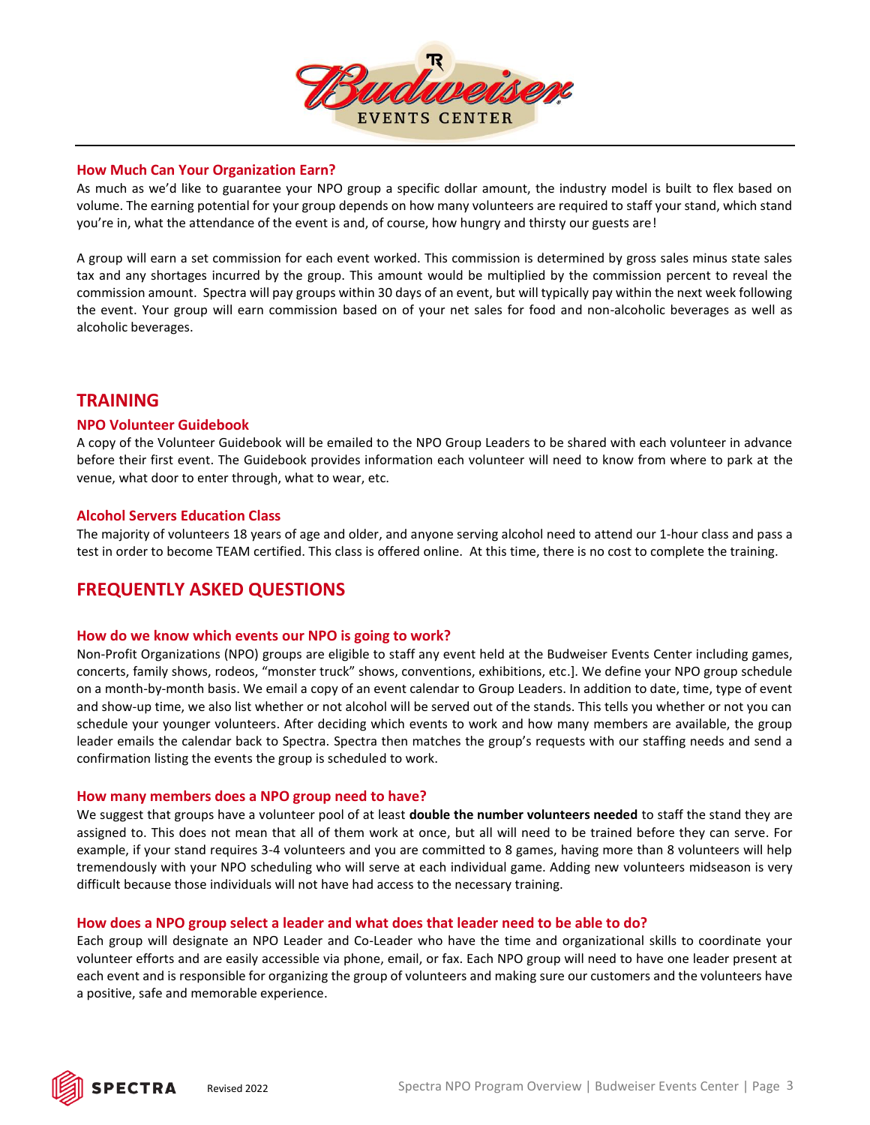

## **How Much Can Your Organization Earn?**

As much as we'd like to guarantee your NPO group a specific dollar amount, the industry model is built to flex based on volume. The earning potential for your group depends on how many volunteers are required to staff your stand, which stand you're in, what the attendance of the event is and, of course, how hungry and thirsty our guests are!

A group will earn a set commission for each event worked. This commission is determined by gross sales minus state sales tax and any shortages incurred by the group. This amount would be multiplied by the commission percent to reveal the commission amount. Spectra will pay groups within 30 days of an event, but will typically pay within the next week following the event. Your group will earn commission based on of your net sales for food and non-alcoholic beverages as well as alcoholic beverages.

## **TRAINING**

### **NPO Volunteer Guidebook**

A copy of the Volunteer Guidebook will be emailed to the NPO Group Leaders to be shared with each volunteer in advance before their first event. The Guidebook provides information each volunteer will need to know from where to park at the venue, what door to enter through, what to wear, etc.

### **Alcohol Servers Education Class**

The majority of volunteers 18 years of age and older, and anyone serving alcohol need to attend our 1-hour class and pass a test in order to become TEAM certified. This class is offered online. At this time, there is no cost to complete the training.

## **FREQUENTLY ASKED QUESTIONS**

#### **How do we know which events our NPO is going to work?**

Non-Profit Organizations (NPO) groups are eligible to staff any event held at the Budweiser Events Center including games, concerts, family shows, rodeos, "monster truck" shows, conventions, exhibitions, etc.]. We define your NPO group schedule on a month-by-month basis. We email a copy of an event calendar to Group Leaders. In addition to date, time, type of event and show-up time, we also list whether or not alcohol will be served out of the stands. This tells you whether or not you can schedule your younger volunteers. After deciding which events to work and how many members are available, the group leader emails the calendar back to Spectra. Spectra then matches the group's requests with our staffing needs and send a confirmation listing the events the group is scheduled to work.

#### **How many members does a NPO group need to have?**

We suggest that groups have a volunteer pool of at least **double the number volunteers needed** to staff the stand they are assigned to. This does not mean that all of them work at once, but all will need to be trained before they can serve. For example, if your stand requires 3-4 volunteers and you are committed to 8 games, having more than 8 volunteers will help tremendously with your NPO scheduling who will serve at each individual game. Adding new volunteers midseason is very difficult because those individuals will not have had access to the necessary training.

## **How does a NPO group select a leader and what does that leader need to be able to do?**

Each group will designate an NPO Leader and Co-Leader who have the time and organizational skills to coordinate your volunteer efforts and are easily accessible via phone, email, or fax. Each NPO group will need to have one leader present at each event and is responsible for organizing the group of volunteers and making sure our customers and the volunteers have a positive, safe and memorable experience.

**SPECTRA**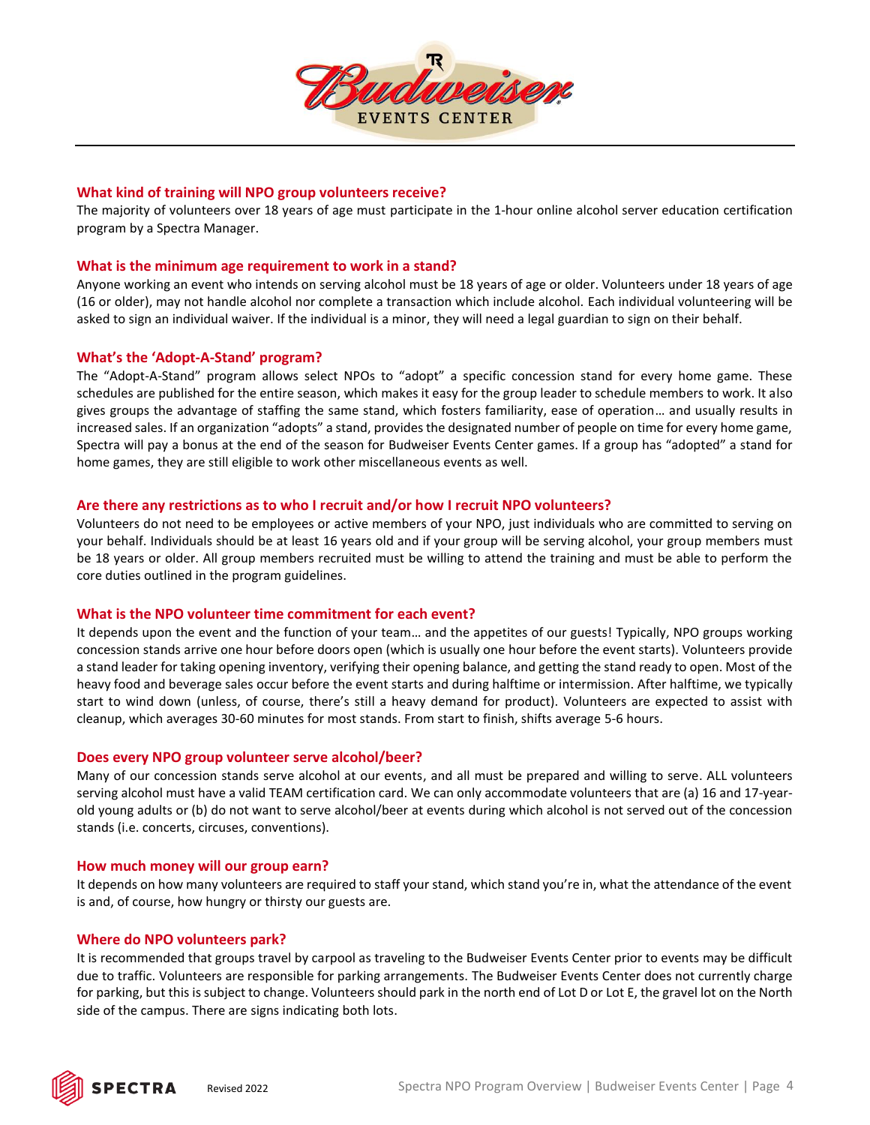

## **What kind of training will NPO group volunteers receive?**

The majority of volunteers over 18 years of age must participate in the 1-hour online alcohol server education certification program by a Spectra Manager.

## **What is the minimum age requirement to work in a stand?**

Anyone working an event who intends on serving alcohol must be 18 years of age or older. Volunteers under 18 years of age (16 or older), may not handle alcohol nor complete a transaction which include alcohol. Each individual volunteering will be asked to sign an individual waiver. If the individual is a minor, they will need a legal guardian to sign on their behalf.

### **What's the 'Adopt-A-Stand' program?**

The "Adopt-A-Stand" program allows select NPOs to "adopt" a specific concession stand for every home game. These schedules are published for the entire season, which makes it easy for the group leader to schedule members to work. It also gives groups the advantage of staffing the same stand, which fosters familiarity, ease of operation… and usually results in increased sales. If an organization "adopts" a stand, provides the designated number of people on time for every home game, Spectra will pay a bonus at the end of the season for Budweiser Events Center games. If a group has "adopted" a stand for home games, they are still eligible to work other miscellaneous events as well.

### **Are there any restrictions as to who I recruit and/or how I recruit NPO volunteers?**

Volunteers do not need to be employees or active members of your NPO, just individuals who are committed to serving on your behalf. Individuals should be at least 16 years old and if your group will be serving alcohol, your group members must be 18 years or older. All group members recruited must be willing to attend the training and must be able to perform the core duties outlined in the program guidelines.

## **What is the NPO volunteer time commitment for each event?**

It depends upon the event and the function of your team… and the appetites of our guests! Typically, NPO groups working concession stands arrive one hour before doors open (which is usually one hour before the event starts). Volunteers provide a stand leader for taking opening inventory, verifying their opening balance, and getting the stand ready to open. Most of the heavy food and beverage sales occur before the event starts and during halftime or intermission. After halftime, we typically start to wind down (unless, of course, there's still a heavy demand for product). Volunteers are expected to assist with cleanup, which averages 30-60 minutes for most stands. From start to finish, shifts average 5-6 hours.

#### **Does every NPO group volunteer serve alcohol/beer?**

Many of our concession stands serve alcohol at our events, and all must be prepared and willing to serve. ALL volunteers serving alcohol must have a valid TEAM certification card. We can only accommodate volunteers that are (a) 16 and 17-yearold young adults or (b) do not want to serve alcohol/beer at events during which alcohol is not served out of the concession stands (i.e. concerts, circuses, conventions).

#### **How much money will our group earn?**

It depends on how many volunteers are required to staff your stand, which stand you're in, what the attendance of the event is and, of course, how hungry or thirsty our guests are.

#### **Where do NPO volunteers park?**

It is recommended that groups travel by carpool as traveling to the Budweiser Events Center prior to events may be difficult due to traffic. Volunteers are responsible for parking arrangements. The Budweiser Events Center does not currently charge for parking, but this is subject to change. Volunteers should park in the north end of Lot D or Lot E, the gravel lot on the North side of the campus. There are signs indicating both lots.